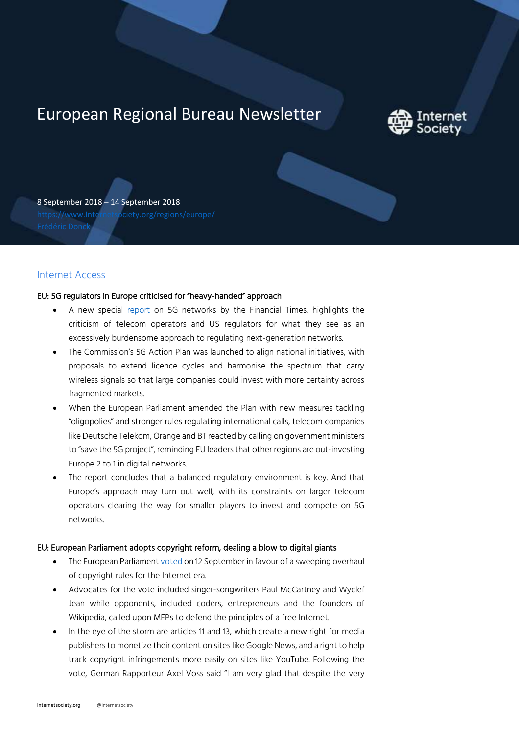# European Regional Bureau Newsletter



8 September 2018 – 14 September 2018 [https://www.Internetsociety.org/regions/europe/](https://www.internetsociety.org/regions/europe/)

## Internet Access

#### EU: 5G regulators in Europe criticised for "heavy-handed" approach

- A new special [report](https://www.ft.com/content/0e6f9206-8110-11e8-af48-190d103e32a4) on 5G networks by the Financial Times, highlights the criticism of telecom operators and US regulators for what they see as an excessively burdensome approach to regulating next-generation networks.
- The Commission's 5G Action Plan was launched to align national initiatives, with proposals to extend licence cycles and harmonise the spectrum that carry wireless signals so that large companies could invest with more certainty across fragmented markets.
- When the European Parliament amended the Plan with new measures tackling "oligopolies" and stronger rules regulating international calls, telecom companies like Deutsche Telekom, Orange and BT reacted by calling on government ministers to "save the 5G project", reminding EU leaders that other regions are out-investing Europe 2 to 1 in digital networks.
- The report concludes that a balanced regulatory environment is key. And that Europe's approach may turn out well, with its constraints on larger telecom operators clearing the way for smaller players to invest and compete on 5G networks.

#### EU: European Parliament adopts copyright reform, dealing a blow to digital giants

- The European Parliamen[t voted](http://www.europarl.europa.eu/news/en/press-room/20180906IPR12103/parliament-adopts-its-position-on-digital-copyright-rules) on 12 September in favour of a sweeping overhaul of copyright rules for the Internet era.
- Advocates for the vote included singer-songwriters Paul McCartney and Wyclef Jean while opponents, included coders, entrepreneurs and the founders of Wikipedia, called upon MEPs to defend the principles of a free Internet.
- In the eye of the storm are articles 11 and 13, which create a new right for media publishers to monetize their content on sites like Google News, and a right to help track copyright infringements more easily on sites like YouTube. Following the vote, German Rapporteur Axel Voss said "I am very glad that despite the very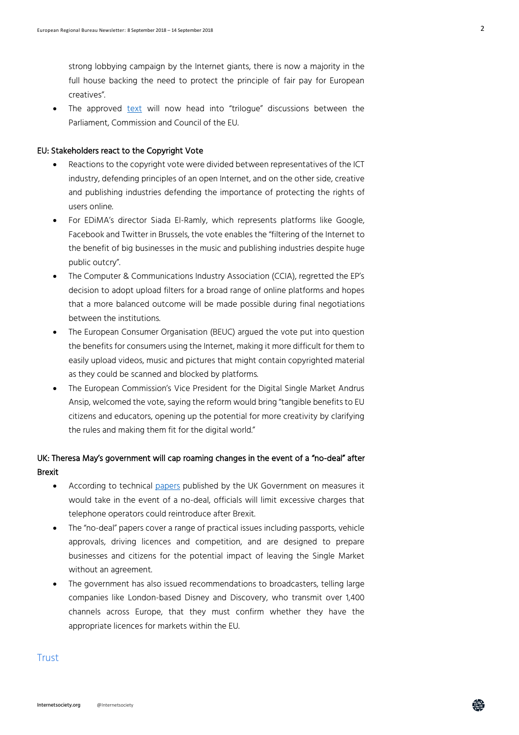strong lobbying campaign by the Internet giants, there is now a majority in the full house backing the need to protect the principle of fair pay for European creatives".

The approved [text](http://www.europarl.europa.eu/sides/getDoc.do?pubRef=-//EP//TEXT+TA+P8-TA-2018-0337+0+DOC+XML+V0//EN&language=EN) will now head into "trilogue" discussions between the Parliament, Commission and Council of the EU.

#### EU: Stakeholders react to the Copyright Vote

- Reactions to the copyright vote were divided between representatives of the ICT industry, defending principles of an open Internet, and on the other side, creative and publishing industries defending the importance of protecting the rights of users online.
- For EDiMA's director Siada El-Ramly, which represents platforms like Google, Facebook and Twitter in Brussels, the vote enables the "filtering of the Internet to the benefit of big businesses in the music and publishing industries despite huge public outcry".
- The Computer & Communications Industry Association (CCIA), regretted the EP's decision to adopt upload filters for a broad range of online platforms and hopes that a more balanced outcome will be made possible during final negotiations between the institutions.
- The European Consumer Organisation (BEUC) argued the vote put into question the benefits for consumers using the Internet, making it more difficult for them to easily upload videos, music and pictures that might contain copyrighted material as they could be scanned and blocked by platforms.
- The European Commission's Vice President for the Digital Single Market Andrus Ansip, welcomed the vote, saying the reform would bring "tangible benefits to EU citizens and educators, opening up the potential for more creativity by clarifying the rules and making them fit for the digital world."

# UK: Theresa May's government will cap roaming changes in the event of a "no-deal" after Brexit

- According to technical [papers](https://www.ft.com/content/b3981656-b75f-11e8-bbc3-ccd7de085ffe) published by the UK Government on measures it would take in the event of a no-deal, officials will limit excessive charges that telephone operators could reintroduce after Brexit.
- The "no-deal" papers cover a range of practical issues including passports, vehicle approvals, driving licences and competition, and are designed to prepare businesses and citizens for the potential impact of leaving the Single Market without an agreement.
- The government has also issued recommendations to broadcasters, telling large companies like London-based Disney and Discovery, who transmit over 1,400 channels across Europe, that they must confirm whether they have the appropriate licences for markets within the EU.

### **Trust**